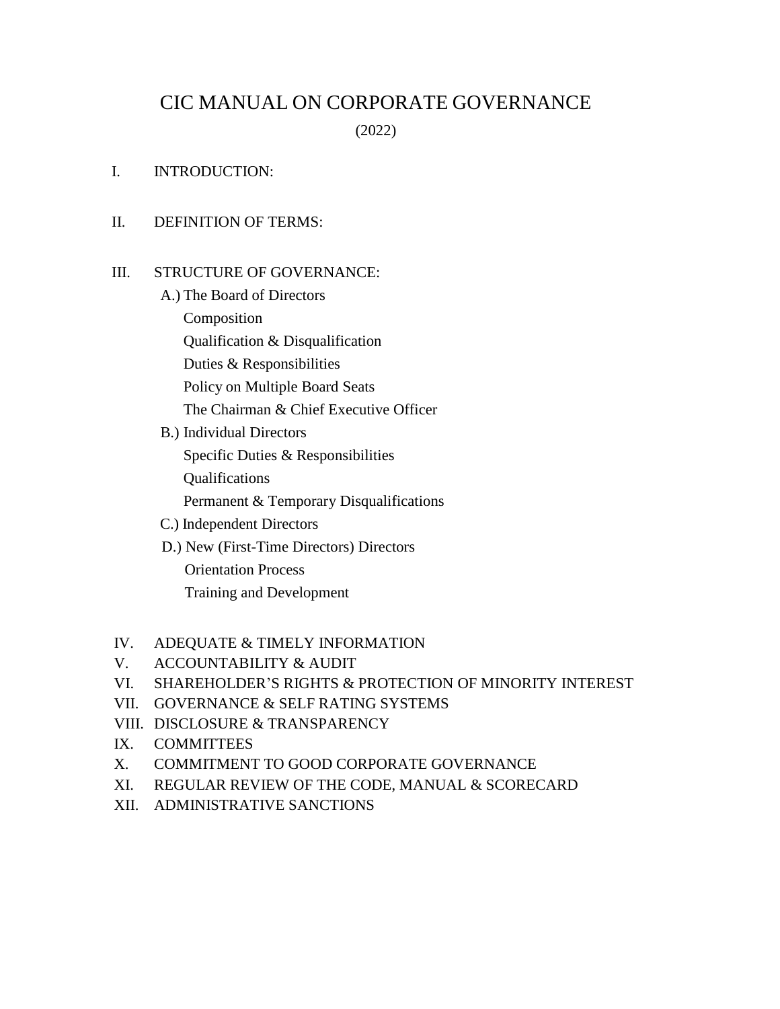# CIC MANUAL ON CORPORATE GOVERNANCE

(2022)

I. INTRODUCTION:

## II. DEFINITION OF TERMS:

#### III. STRUCTURE OF GOVERNANCE:

- A.) The Board of Directors Composition Qualification & Disqualification Duties & Responsibilities Policy on Multiple Board Seats The Chairman & Chief Executive Officer
- B.) Individual Directors Specific Duties & Responsibilities Qualifications Permanent & Temporary Disqualifications
- C.) Independent Directors
- D.) New (First-Time Directors) Directors

 Orientation Process Training and Development

## IV. ADEQUATE & TIMELY INFORMATION

- V. ACCOUNTABILITY & AUDIT
- VI. SHAREHOLDER'S RIGHTS & PROTECTION OF MINORITY INTEREST
- VII. GOVERNANCE & SELF RATING SYSTEMS
- VIII. DISCLOSURE & TRANSPARENCY
- IX. COMMITTEES
- X. COMMITMENT TO GOOD CORPORATE GOVERNANCE
- XI. REGULAR REVIEW OF THE CODE, MANUAL & SCORECARD
- XII. ADMINISTRATIVE SANCTIONS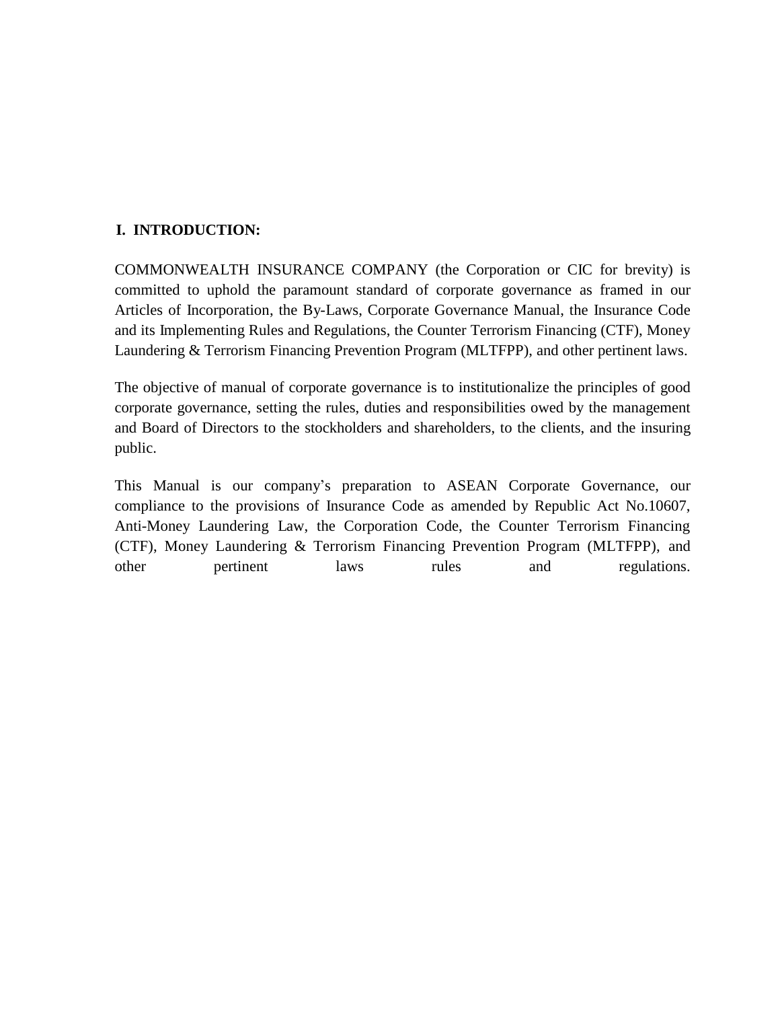# **I. INTRODUCTION:**

COMMONWEALTH INSURANCE COMPANY (the Corporation or CIC for brevity) is committed to uphold the paramount standard of corporate governance as framed in our Articles of Incorporation, the By-Laws, Corporate Governance Manual, the Insurance Code and its Implementing Rules and Regulations, the Counter Terrorism Financing (CTF), Money Laundering & Terrorism Financing Prevention Program (MLTFPP), and other pertinent laws.

The objective of manual of corporate governance is to institutionalize the principles of good corporate governance, setting the rules, duties and responsibilities owed by the management and Board of Directors to the stockholders and shareholders, to the clients, and the insuring public.

This Manual is our company's preparation to ASEAN Corporate Governance, our compliance to the provisions of Insurance Code as amended by Republic Act No.10607, Anti-Money Laundering Law, the Corporation Code, the Counter Terrorism Financing (CTF), Money Laundering & Terrorism Financing Prevention Program (MLTFPP), and other pertinent laws rules and regulations.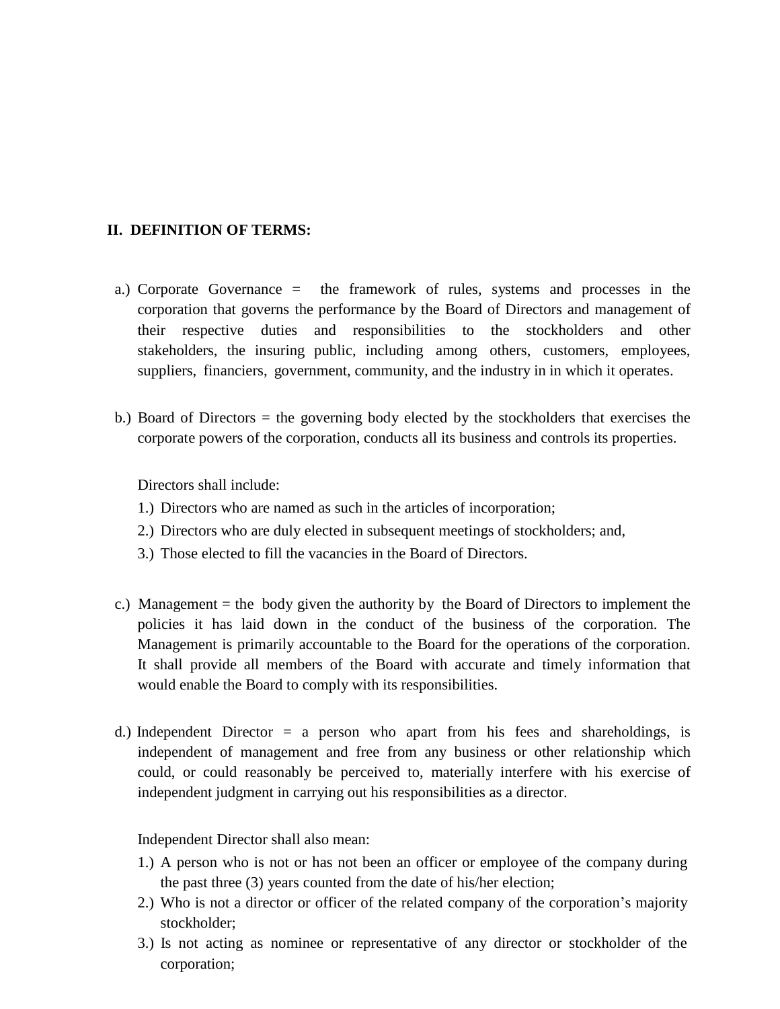## **II. DEFINITION OF TERMS:**

- a.) Corporate Governance = the framework of rules, systems and processes in the corporation that governs the performance by the Board of Directors and management of their respective duties and responsibilities to the stockholders and other stakeholders, the insuring public, including among others, customers, employees, suppliers, financiers, government, community, and the industry in in which it operates.
- b.) Board of Directors = the governing body elected by the stockholders that exercises the corporate powers of the corporation, conducts all its business and controls its properties.

Directors shall include:

- 1.) Directors who are named as such in the articles of incorporation;
- 2.) Directors who are duly elected in subsequent meetings of stockholders; and,
- 3.) Those elected to fill the vacancies in the Board of Directors.
- c.) Management = the body given the authority by the Board of Directors to implement the policies it has laid down in the conduct of the business of the corporation. The Management is primarily accountable to the Board for the operations of the corporation. It shall provide all members of the Board with accurate and timely information that would enable the Board to comply with its responsibilities.
- d.) Independent Director  $=$  a person who apart from his fees and shareholdings, is independent of management and free from any business or other relationship which could, or could reasonably be perceived to, materially interfere with his exercise of independent judgment in carrying out his responsibilities as a director.

Independent Director shall also mean:

- 1.) A person who is not or has not been an officer or employee of the company during the past three (3) years counted from the date of his/her election;
- 2.) Who is not a director or officer of the related company of the corporation's majority stockholder;
- 3.) Is not acting as nominee or representative of any director or stockholder of the corporation;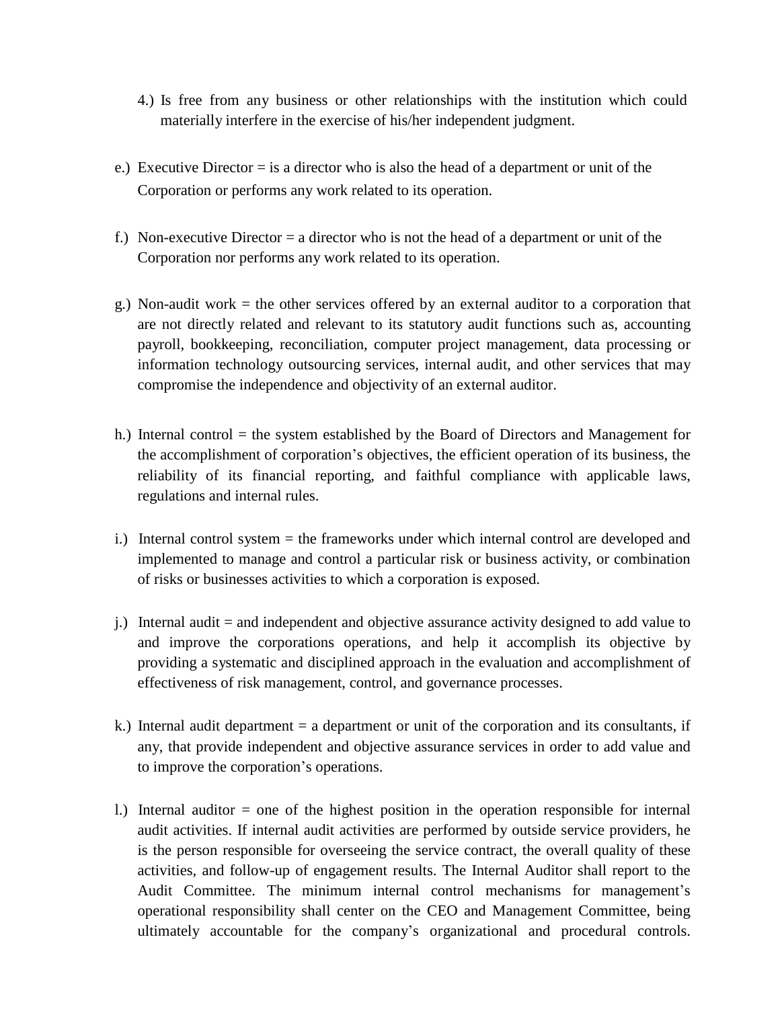- 4.) Is free from any business or other relationships with the institution which could materially interfere in the exercise of his/her independent judgment.
- e.) Executive Director  $=$  is a director who is also the head of a department or unit of the Corporation or performs any work related to its operation.
- f.) Non-executive Director = a director who is not the head of a department or unit of the Corporation nor performs any work related to its operation.
- g.) Non-audit work = the other services offered by an external auditor to a corporation that are not directly related and relevant to its statutory audit functions such as, accounting payroll, bookkeeping, reconciliation, computer project management, data processing or information technology outsourcing services, internal audit, and other services that may compromise the independence and objectivity of an external auditor.
- h.) Internal control = the system established by the Board of Directors and Management for the accomplishment of corporation's objectives, the efficient operation of its business, the reliability of its financial reporting, and faithful compliance with applicable laws, regulations and internal rules.
- i.) Internal control system = the frameworks under which internal control are developed and implemented to manage and control a particular risk or business activity, or combination of risks or businesses activities to which a corporation is exposed.
- j.) Internal audit = and independent and objective assurance activity designed to add value to and improve the corporations operations, and help it accomplish its objective by providing a systematic and disciplined approach in the evaluation and accomplishment of effectiveness of risk management, control, and governance processes.
- k.) Internal audit department = a department or unit of the corporation and its consultants, if any, that provide independent and objective assurance services in order to add value and to improve the corporation's operations.
- l.) Internal auditor = one of the highest position in the operation responsible for internal audit activities. If internal audit activities are performed by outside service providers, he is the person responsible for overseeing the service contract, the overall quality of these activities, and follow-up of engagement results. The Internal Auditor shall report to the Audit Committee. The minimum internal control mechanisms for management's operational responsibility shall center on the CEO and Management Committee, being ultimately accountable for the company's organizational and procedural controls.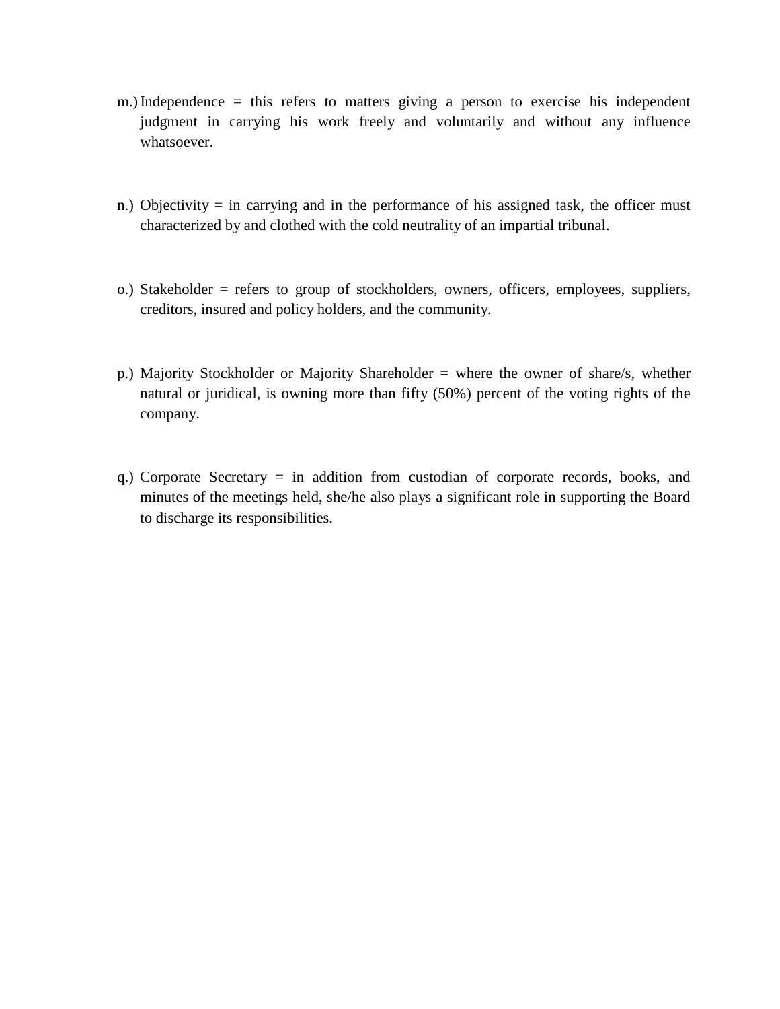- m.)Independence = this refers to matters giving a person to exercise his independent judgment in carrying his work freely and voluntarily and without any influence whatsoever.
- n.) Objectivity = in carrying and in the performance of his assigned task, the officer must characterized by and clothed with the cold neutrality of an impartial tribunal.
- o.) Stakeholder = refers to group of stockholders, owners, officers, employees, suppliers, creditors, insured and policy holders, and the community.
- p.) Majority Stockholder or Majority Shareholder = where the owner of share/s, whether natural or juridical, is owning more than fifty (50%) percent of the voting rights of the company.
- q.) Corporate Secretary = in addition from custodian of corporate records, books, and minutes of the meetings held, she/he also plays a significant role in supporting the Board to discharge its responsibilities.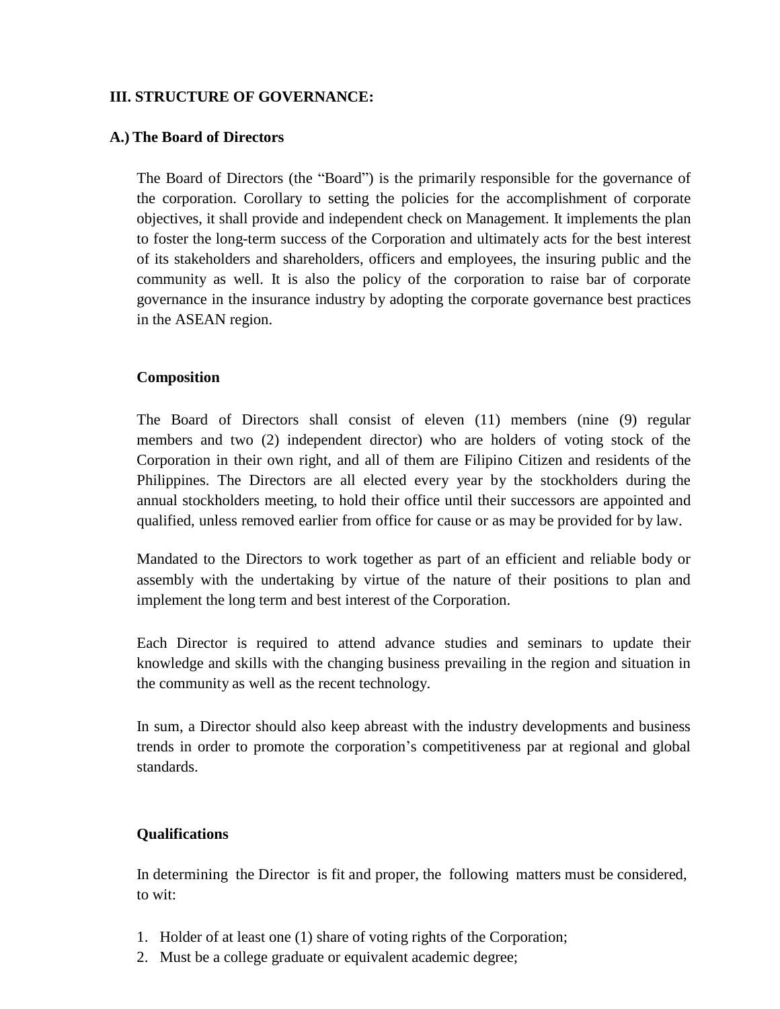## **III. STRUCTURE OF GOVERNANCE:**

## **A.) The Board of Directors**

The Board of Directors (the "Board") is the primarily responsible for the governance of the corporation. Corollary to setting the policies for the accomplishment of corporate objectives, it shall provide and independent check on Management. It implements the plan to foster the long-term success of the Corporation and ultimately acts for the best interest of its stakeholders and shareholders, officers and employees, the insuring public and the community as well. It is also the policy of the corporation to raise bar of corporate governance in the insurance industry by adopting the corporate governance best practices in the ASEAN region.

## **Composition**

The Board of Directors shall consist of eleven (11) members (nine (9) regular members and two (2) independent director) who are holders of voting stock of the Corporation in their own right, and all of them are Filipino Citizen and residents of the Philippines. The Directors are all elected every year by the stockholders during the annual stockholders meeting, to hold their office until their successors are appointed and qualified, unless removed earlier from office for cause or as may be provided for by law.

Mandated to the Directors to work together as part of an efficient and reliable body or assembly with the undertaking by virtue of the nature of their positions to plan and implement the long term and best interest of the Corporation.

Each Director is required to attend advance studies and seminars to update their knowledge and skills with the changing business prevailing in the region and situation in the community as well as the recent technology.

In sum, a Director should also keep abreast with the industry developments and business trends in order to promote the corporation's competitiveness par at regional and global standards.

## **Qualifications**

In determining the Director is fit and proper, the following matters must be considered, to wit:

- 1. Holder of at least one (1) share of voting rights of the Corporation;
- 2. Must be a college graduate or equivalent academic degree;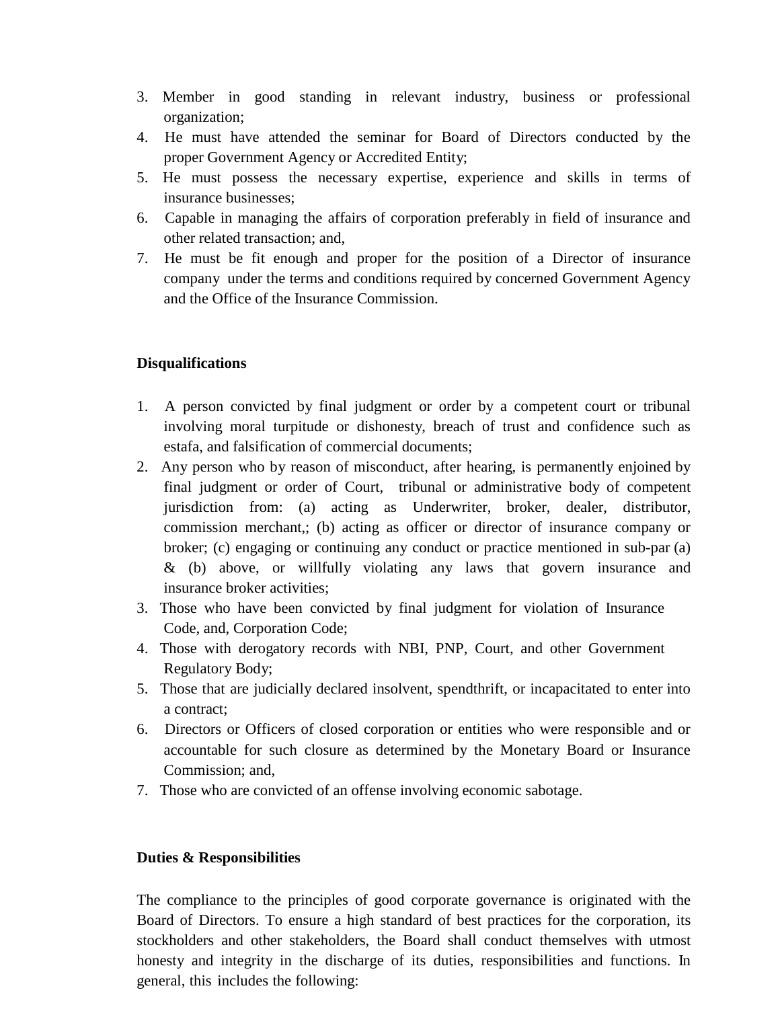- 3. Member in good standing in relevant industry, business or professional organization;
- 4. He must have attended the seminar for Board of Directors conducted by the proper Government Agency or Accredited Entity;
- 5. He must possess the necessary expertise, experience and skills in terms of insurance businesses;
- 6. Capable in managing the affairs of corporation preferably in field of insurance and other related transaction; and,
- 7. He must be fit enough and proper for the position of a Director of insurance company under the terms and conditions required by concerned Government Agency and the Office of the Insurance Commission.

## **Disqualifications**

- 1. A person convicted by final judgment or order by a competent court or tribunal involving moral turpitude or dishonesty, breach of trust and confidence such as estafa, and falsification of commercial documents;
- 2. Any person who by reason of misconduct, after hearing, is permanently enjoined by final judgment or order of Court, tribunal or administrative body of competent jurisdiction from: (a) acting as Underwriter, broker, dealer, distributor, commission merchant,; (b) acting as officer or director of insurance company or broker; (c) engaging or continuing any conduct or practice mentioned in sub-par (a) & (b) above, or willfully violating any laws that govern insurance and insurance broker activities;
- 3. Those who have been convicted by final judgment for violation of Insurance Code, and, Corporation Code;
- 4. Those with derogatory records with NBI, PNP, Court, and other Government Regulatory Body;
- 5. Those that are judicially declared insolvent, spendthrift, or incapacitated to enter into a contract;
- 6. Directors or Officers of closed corporation or entities who were responsible and or accountable for such closure as determined by the Monetary Board or Insurance Commission; and,
- 7. Those who are convicted of an offense involving economic sabotage.

## **Duties & Responsibilities**

The compliance to the principles of good corporate governance is originated with the Board of Directors. To ensure a high standard of best practices for the corporation, its stockholders and other stakeholders, the Board shall conduct themselves with utmost honesty and integrity in the discharge of its duties, responsibilities and functions. In general, this includes the following: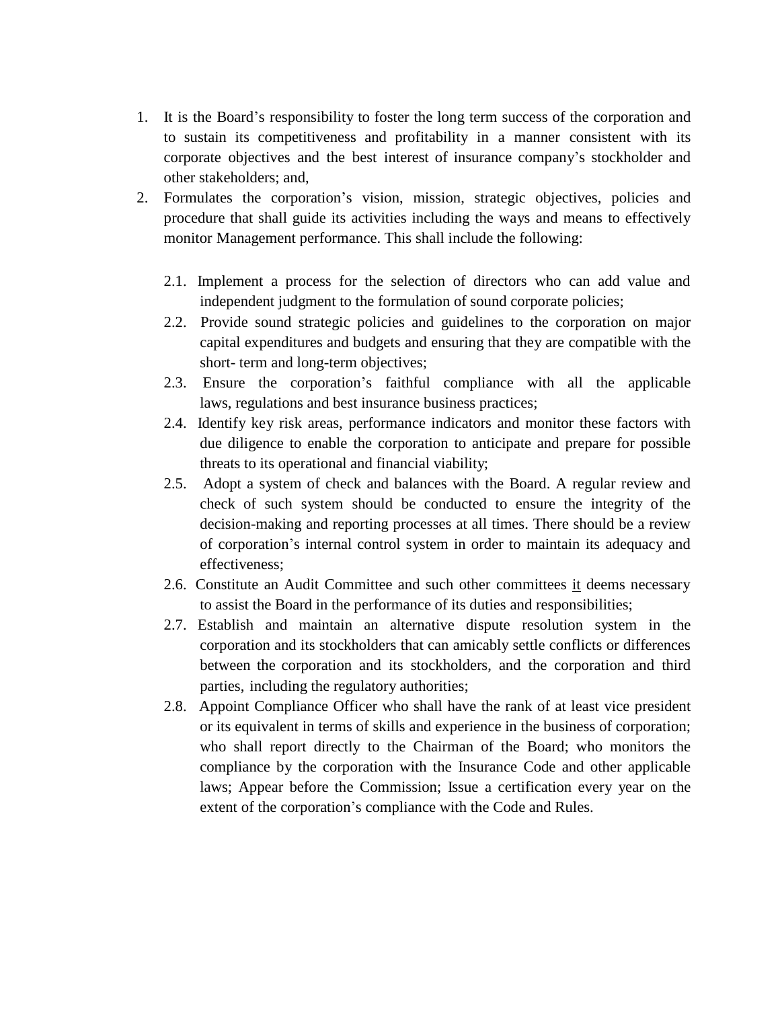- 1. It is the Board's responsibility to foster the long term success of the corporation and to sustain its competitiveness and profitability in a manner consistent with its corporate objectives and the best interest of insurance company's stockholder and other stakeholders; and,
- 2. Formulates the corporation's vision, mission, strategic objectives, policies and procedure that shall guide its activities including the ways and means to effectively monitor Management performance. This shall include the following:
	- 2.1. Implement a process for the selection of directors who can add value and independent judgment to the formulation of sound corporate policies;
	- 2.2. Provide sound strategic policies and guidelines to the corporation on major capital expenditures and budgets and ensuring that they are compatible with the short- term and long-term objectives;
	- 2.3. Ensure the corporation's faithful compliance with all the applicable laws, regulations and best insurance business practices;
	- 2.4. Identify key risk areas, performance indicators and monitor these factors with due diligence to enable the corporation to anticipate and prepare for possible threats to its operational and financial viability;
	- 2.5. Adopt a system of check and balances with the Board. A regular review and check of such system should be conducted to ensure the integrity of the decision-making and reporting processes at all times. There should be a review of corporation's internal control system in order to maintain its adequacy and effectiveness;
	- 2.6. Constitute an Audit Committee and such other committees it deems necessary to assist the Board in the performance of its duties and responsibilities;
	- 2.7. Establish and maintain an alternative dispute resolution system in the corporation and its stockholders that can amicably settle conflicts or differences between the corporation and its stockholders, and the corporation and third parties, including the regulatory authorities;
	- 2.8. Appoint Compliance Officer who shall have the rank of at least vice president or its equivalent in terms of skills and experience in the business of corporation; who shall report directly to the Chairman of the Board; who monitors the compliance by the corporation with the Insurance Code and other applicable laws; Appear before the Commission; Issue a certification every year on the extent of the corporation's compliance with the Code and Rules.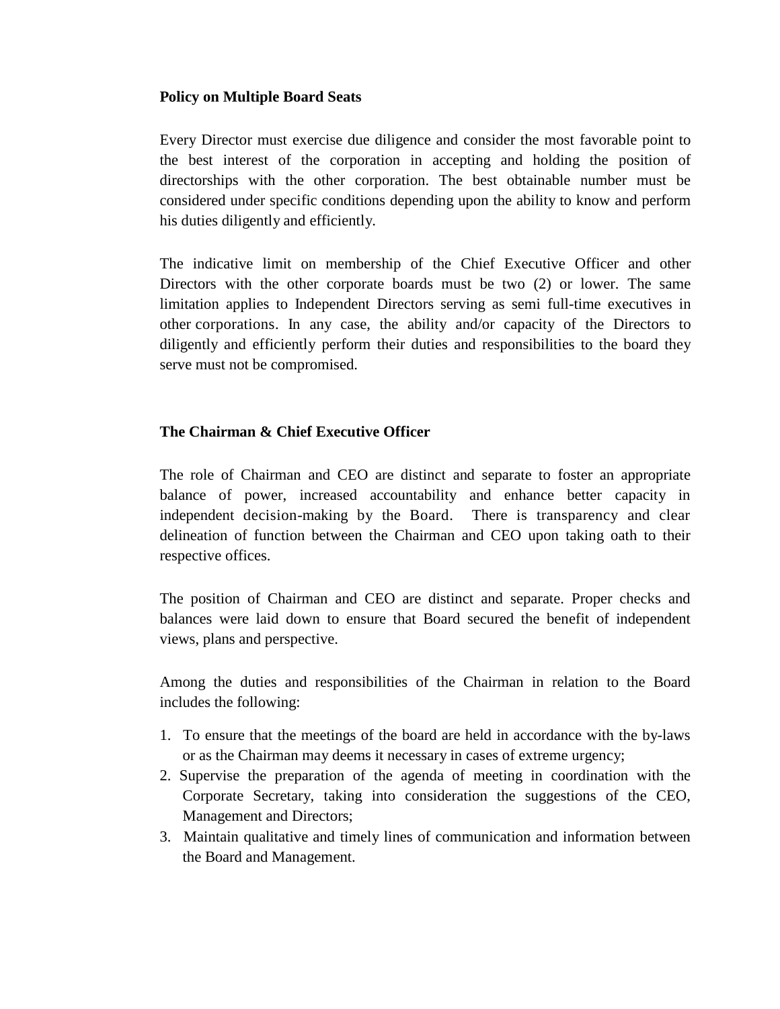## **Policy on Multiple Board Seats**

Every Director must exercise due diligence and consider the most favorable point to the best interest of the corporation in accepting and holding the position of directorships with the other corporation. The best obtainable number must be considered under specific conditions depending upon the ability to know and perform his duties diligently and efficiently.

The indicative limit on membership of the Chief Executive Officer and other Directors with the other corporate boards must be two (2) or lower. The same limitation applies to Independent Directors serving as semi full-time executives in other corporations. In any case, the ability and/or capacity of the Directors to diligently and efficiently perform their duties and responsibilities to the board they serve must not be compromised.

# **The Chairman & Chief Executive Officer**

The role of Chairman and CEO are distinct and separate to foster an appropriate balance of power, increased accountability and enhance better capacity in independent decision-making by the Board. There is transparency and clear delineation of function between the Chairman and CEO upon taking oath to their respective offices.

The position of Chairman and CEO are distinct and separate. Proper checks and balances were laid down to ensure that Board secured the benefit of independent views, plans and perspective.

Among the duties and responsibilities of the Chairman in relation to the Board includes the following:

- 1. To ensure that the meetings of the board are held in accordance with the by-laws or as the Chairman may deems it necessary in cases of extreme urgency;
- 2. Supervise the preparation of the agenda of meeting in coordination with the Corporate Secretary, taking into consideration the suggestions of the CEO, Management and Directors;
- 3. Maintain qualitative and timely lines of communication and information between the Board and Management.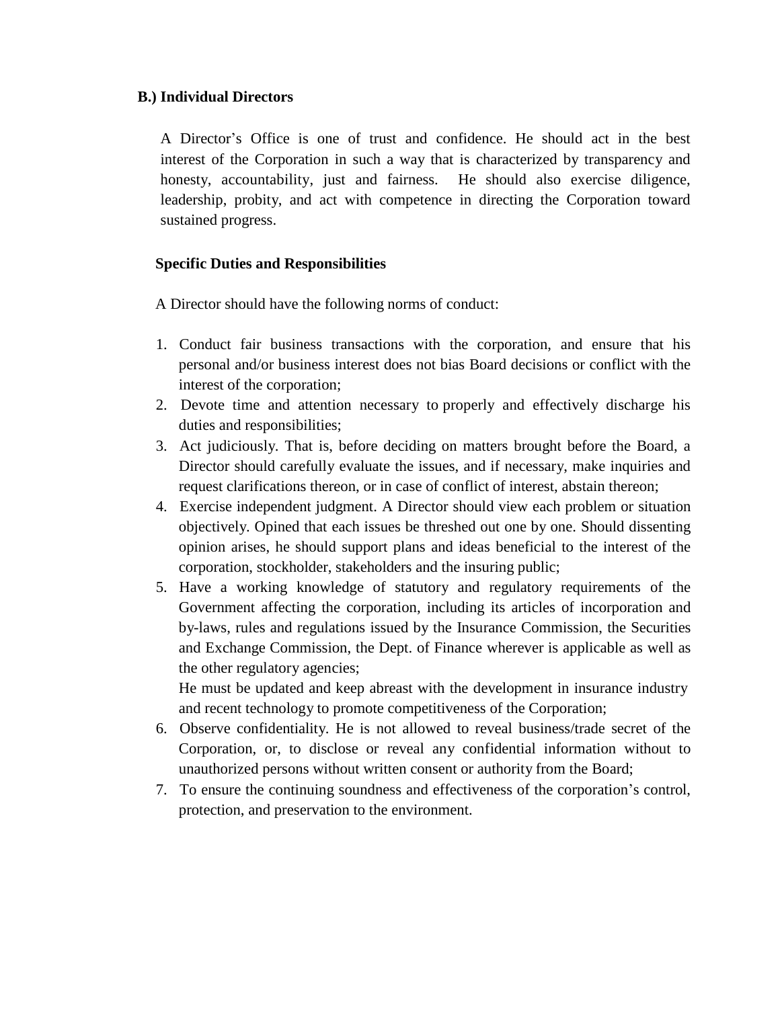## **B.) Individual Directors**

A Director's Office is one of trust and confidence. He should act in the best interest of the Corporation in such a way that is characterized by transparency and honesty, accountability, just and fairness. He should also exercise diligence, leadership, probity, and act with competence in directing the Corporation toward sustained progress.

# **Specific Duties and Responsibilities**

A Director should have the following norms of conduct:

- 1. Conduct fair business transactions with the corporation, and ensure that his personal and/or business interest does not bias Board decisions or conflict with the interest of the corporation;
- 2. Devote time and attention necessary to properly and effectively discharge his duties and responsibilities;
- 3. Act judiciously. That is, before deciding on matters brought before the Board, a Director should carefully evaluate the issues, and if necessary, make inquiries and request clarifications thereon, or in case of conflict of interest, abstain thereon;
- 4. Exercise independent judgment. A Director should view each problem or situation objectively. Opined that each issues be threshed out one by one. Should dissenting opinion arises, he should support plans and ideas beneficial to the interest of the corporation, stockholder, stakeholders and the insuring public;
- 5. Have a working knowledge of statutory and regulatory requirements of the Government affecting the corporation, including its articles of incorporation and by-laws, rules and regulations issued by the Insurance Commission, the Securities and Exchange Commission, the Dept. of Finance wherever is applicable as well as the other regulatory agencies;

He must be updated and keep abreast with the development in insurance industry and recent technology to promote competitiveness of the Corporation;

- 6. Observe confidentiality. He is not allowed to reveal business/trade secret of the Corporation, or, to disclose or reveal any confidential information without to unauthorized persons without written consent or authority from the Board;
- 7. To ensure the continuing soundness and effectiveness of the corporation's control, protection, and preservation to the environment.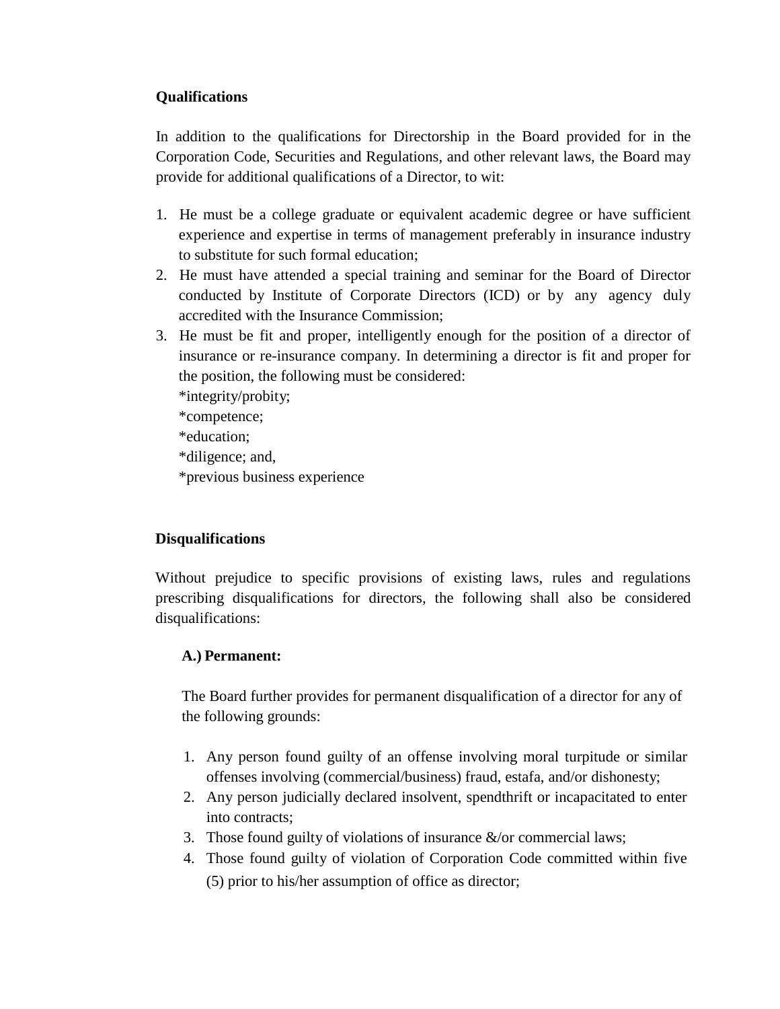# **Qualifications**

In addition to the qualifications for Directorship in the Board provided for in the Corporation Code, Securities and Regulations, and other relevant laws, the Board may provide for additional qualifications of a Director, to wit:

- 1. He must be a college graduate or equivalent academic degree or have sufficient experience and expertise in terms of management preferably in insurance industry to substitute for such formal education;
- 2. He must have attended a special training and seminar for the Board of Director conducted by Institute of Corporate Directors (ICD) or by any agency duly accredited with the Insurance Commission;
- 3. He must be fit and proper, intelligently enough for the position of a director of insurance or re-insurance company. In determining a director is fit and proper for the position, the following must be considered:

\*integrity/probity; \*competence; \*education; \*diligence; and, \*previous business experience

# **Disqualifications**

Without prejudice to specific provisions of existing laws, rules and regulations prescribing disqualifications for directors, the following shall also be considered disqualifications:

# **A.) Permanent:**

The Board further provides for permanent disqualification of a director for any of the following grounds:

- 1. Any person found guilty of an offense involving moral turpitude or similar offenses involving (commercial/business) fraud, estafa, and/or dishonesty;
- 2. Any person judicially declared insolvent, spendthrift or incapacitated to enter into contracts;
- 3. Those found guilty of violations of insurance &/or commercial laws;
- 4. Those found guilty of violation of Corporation Code committed within five (5) prior to his/her assumption of office as director;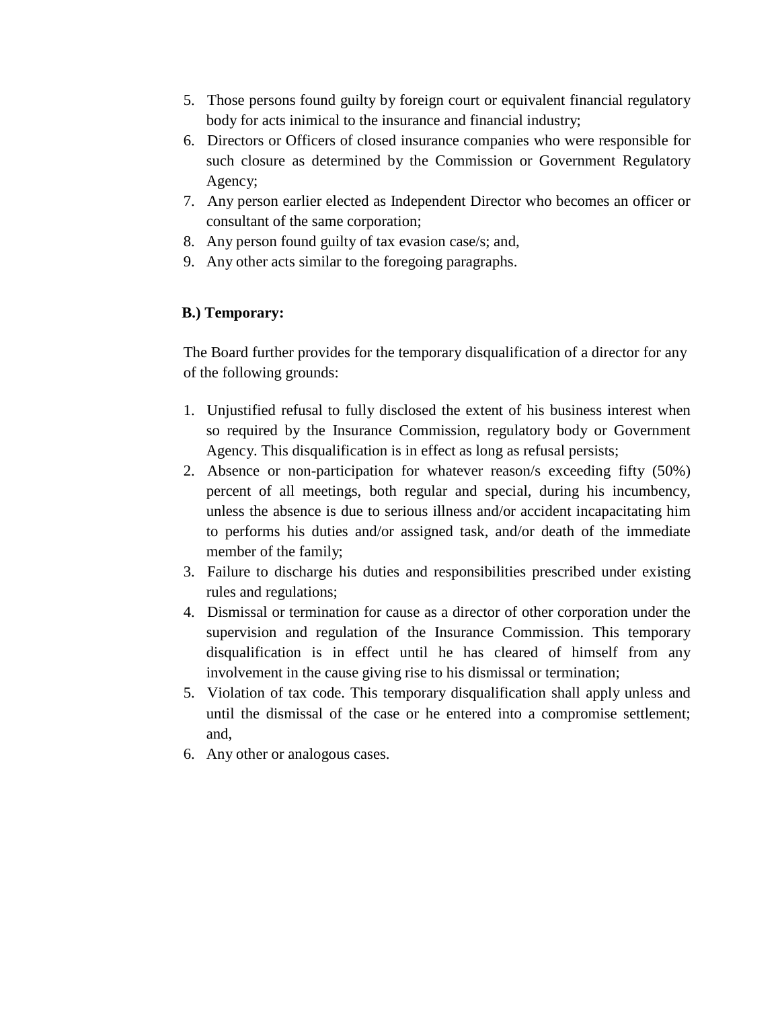- 5. Those persons found guilty by foreign court or equivalent financial regulatory body for acts inimical to the insurance and financial industry;
- 6. Directors or Officers of closed insurance companies who were responsible for such closure as determined by the Commission or Government Regulatory Agency;
- 7. Any person earlier elected as Independent Director who becomes an officer or consultant of the same corporation;
- 8. Any person found guilty of tax evasion case/s; and,
- 9. Any other acts similar to the foregoing paragraphs.

# **B.) Temporary:**

The Board further provides for the temporary disqualification of a director for any of the following grounds:

- 1. Unjustified refusal to fully disclosed the extent of his business interest when so required by the Insurance Commission, regulatory body or Government Agency. This disqualification is in effect as long as refusal persists;
- 2. Absence or non-participation for whatever reason/s exceeding fifty (50%) percent of all meetings, both regular and special, during his incumbency, unless the absence is due to serious illness and/or accident incapacitating him to performs his duties and/or assigned task, and/or death of the immediate member of the family;
- 3. Failure to discharge his duties and responsibilities prescribed under existing rules and regulations;
- 4. Dismissal or termination for cause as a director of other corporation under the supervision and regulation of the Insurance Commission. This temporary disqualification is in effect until he has cleared of himself from any involvement in the cause giving rise to his dismissal or termination;
- 5. Violation of tax code. This temporary disqualification shall apply unless and until the dismissal of the case or he entered into a compromise settlement; and,
- 6. Any other or analogous cases.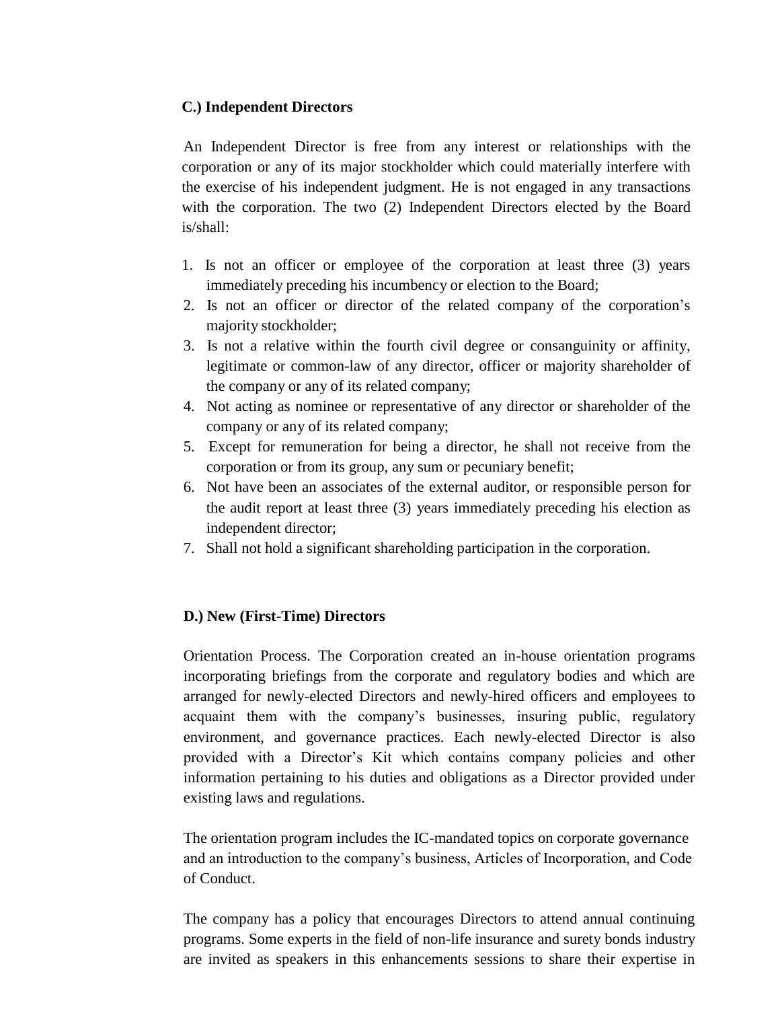## **C.) Independent Directors**

An Independent Director is free from any interest or relationships with the corporation or any of its major stockholder which could materially interfere with the exercise of his independent judgment. He is not engaged in any transactions with the corporation. The two (2) Independent Directors elected by the Board is/shall:

- 1. Is not an officer or employee of the corporation at least three (3) years immediately preceding his incumbency or election to the Board;
- 2. Is not an officer or director of the related company of the corporation's majority stockholder;
- 3. Is not a relative within the fourth civil degree or consanguinity or affinity, legitimate or common-law of any director, officer or majority shareholder of the company or any of its related company;
- 4. Not acting as nominee or representative of any director or shareholder of the company or any of its related company;
- 5. Except for remuneration for being a director, he shall not receive from the corporation or from its group, any sum or pecuniary benefit;
- 6. Not have been an associates of the external auditor, or responsible person for the audit report at least three (3) years immediately preceding his election as independent director;
- 7. Shall not hold a significant shareholding participation in the corporation.

## **D.) New (First-Time) Directors**

Orientation Process. The Corporation created an in-house orientation programs incorporating briefings from the corporate and regulatory bodies and which are arranged for newly-elected Directors and newly-hired officers and employees to acquaint them with the company's businesses, insuring public, regulatory environment, and governance practices. Each newly-elected Director is also provided with a Director's Kit which contains company policies and other information pertaining to his duties and obligations as a Director provided under existing laws and regulations.

The orientation program includes the IC-mandated topics on corporate governance and an introduction to the company's business, Articles of Incorporation, and Code of Conduct.

The company has a policy that encourages Directors to attend annual continuing programs. Some experts in the field of non-life insurance and surety bonds industry are invited as speakers in this enhancements sessions to share their expertise in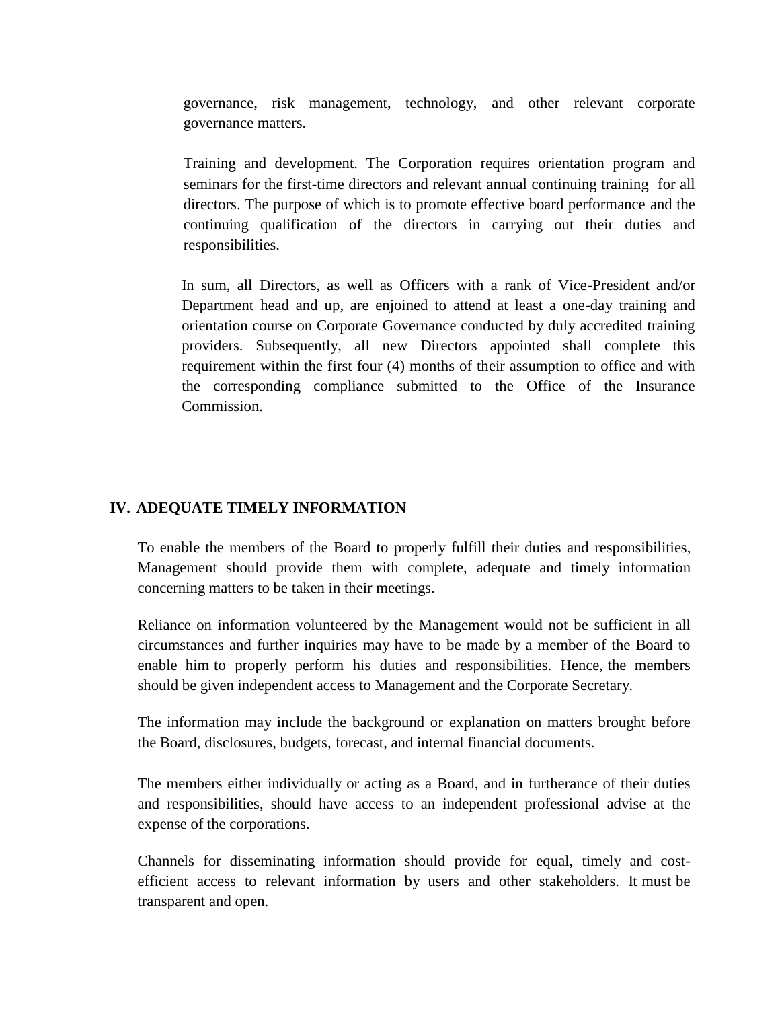governance, risk management, technology, and other relevant corporate governance matters.

Training and development. The Corporation requires orientation program and seminars for the first-time directors and relevant annual continuing training for all directors. The purpose of which is to promote effective board performance and the continuing qualification of the directors in carrying out their duties and responsibilities.

In sum, all Directors, as well as Officers with a rank of Vice-President and/or Department head and up, are enjoined to attend at least a one-day training and orientation course on Corporate Governance conducted by duly accredited training providers. Subsequently, all new Directors appointed shall complete this requirement within the first four (4) months of their assumption to office and with the corresponding compliance submitted to the Office of the Insurance Commission.

#### **IV. ADEQUATE TIMELY INFORMATION**

To enable the members of the Board to properly fulfill their duties and responsibilities, Management should provide them with complete, adequate and timely information concerning matters to be taken in their meetings.

Reliance on information volunteered by the Management would not be sufficient in all circumstances and further inquiries may have to be made by a member of the Board to enable him to properly perform his duties and responsibilities. Hence, the members should be given independent access to Management and the Corporate Secretary.

The information may include the background or explanation on matters brought before the Board, disclosures, budgets, forecast, and internal financial documents.

The members either individually or acting as a Board, and in furtherance of their duties and responsibilities, should have access to an independent professional advise at the expense of the corporations.

Channels for disseminating information should provide for equal, timely and costefficient access to relevant information by users and other stakeholders. It must be transparent and open.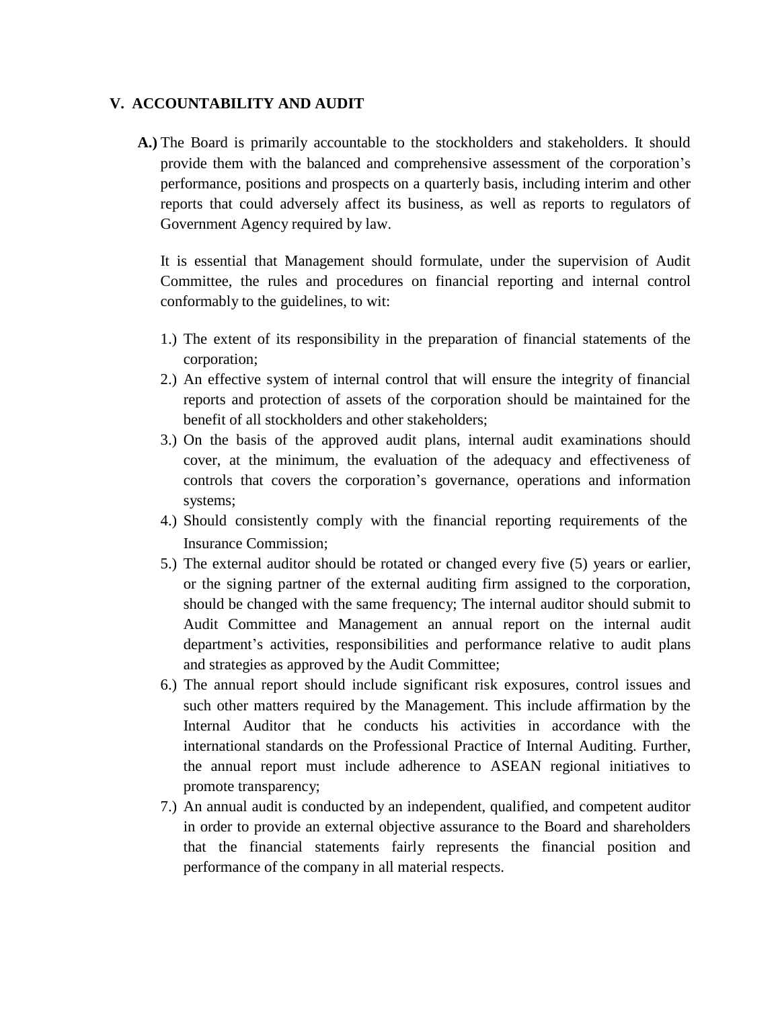## **V. ACCOUNTABILITY AND AUDIT**

**A.)** The Board is primarily accountable to the stockholders and stakeholders. It should provide them with the balanced and comprehensive assessment of the corporation's performance, positions and prospects on a quarterly basis, including interim and other reports that could adversely affect its business, as well as reports to regulators of Government Agency required by law.

It is essential that Management should formulate, under the supervision of Audit Committee, the rules and procedures on financial reporting and internal control conformably to the guidelines, to wit:

- 1.) The extent of its responsibility in the preparation of financial statements of the corporation;
- 2.) An effective system of internal control that will ensure the integrity of financial reports and protection of assets of the corporation should be maintained for the benefit of all stockholders and other stakeholders;
- 3.) On the basis of the approved audit plans, internal audit examinations should cover, at the minimum, the evaluation of the adequacy and effectiveness of controls that covers the corporation's governance, operations and information systems;
- 4.) Should consistently comply with the financial reporting requirements of the Insurance Commission;
- 5.) The external auditor should be rotated or changed every five (5) years or earlier, or the signing partner of the external auditing firm assigned to the corporation, should be changed with the same frequency; The internal auditor should submit to Audit Committee and Management an annual report on the internal audit department's activities, responsibilities and performance relative to audit plans and strategies as approved by the Audit Committee;
- 6.) The annual report should include significant risk exposures, control issues and such other matters required by the Management. This include affirmation by the Internal Auditor that he conducts his activities in accordance with the international standards on the Professional Practice of Internal Auditing. Further, the annual report must include adherence to ASEAN regional initiatives to promote transparency;
- 7.) An annual audit is conducted by an independent, qualified, and competent auditor in order to provide an external objective assurance to the Board and shareholders that the financial statements fairly represents the financial position and performance of the company in all material respects.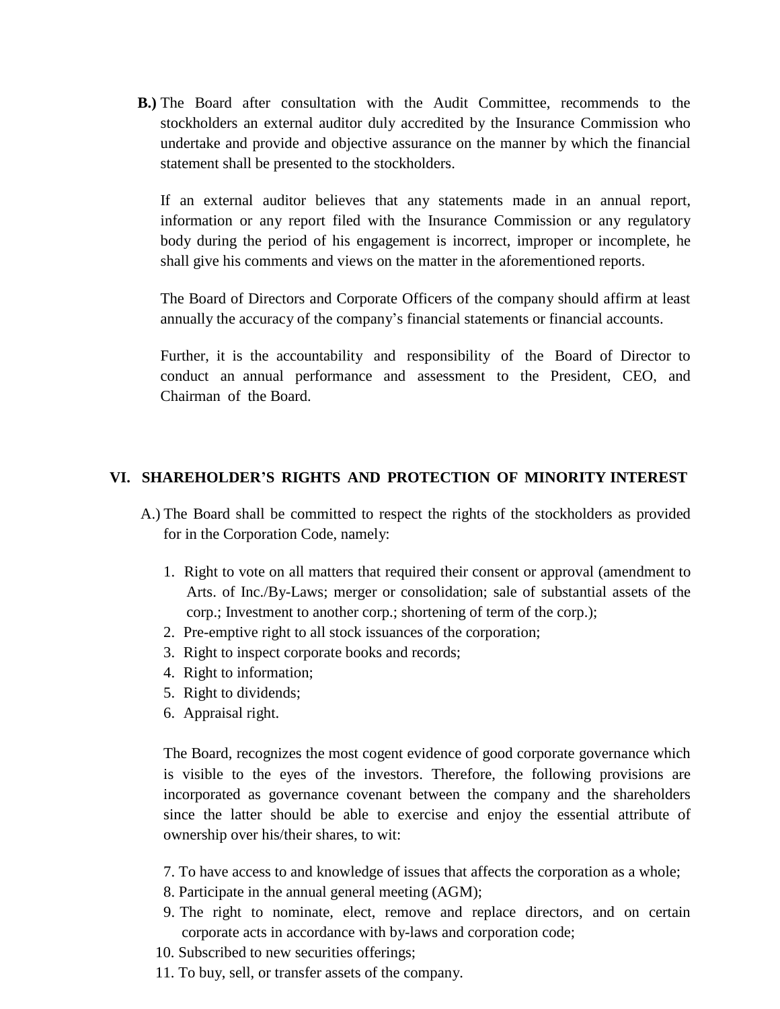**B.)** The Board after consultation with the Audit Committee, recommends to the stockholders an external auditor duly accredited by the Insurance Commission who undertake and provide and objective assurance on the manner by which the financial statement shall be presented to the stockholders.

If an external auditor believes that any statements made in an annual report, information or any report filed with the Insurance Commission or any regulatory body during the period of his engagement is incorrect, improper or incomplete, he shall give his comments and views on the matter in the aforementioned reports.

The Board of Directors and Corporate Officers of the company should affirm at least annually the accuracy of the company's financial statements or financial accounts.

Further, it is the accountability and responsibility of the Board of Director to conduct an annual performance and assessment to the President, CEO, and Chairman of the Board.

## **VI. SHAREHOLDER'S RIGHTS AND PROTECTION OF MINORITY INTEREST**

- A.) The Board shall be committed to respect the rights of the stockholders as provided for in the Corporation Code, namely:
	- 1. Right to vote on all matters that required their consent or approval (amendment to Arts. of Inc./By-Laws; merger or consolidation; sale of substantial assets of the corp.; Investment to another corp.; shortening of term of the corp.);
	- 2. Pre-emptive right to all stock issuances of the corporation;
	- 3. Right to inspect corporate books and records;
	- 4. Right to information;
	- 5. Right to dividends;
	- 6. Appraisal right.

The Board, recognizes the most cogent evidence of good corporate governance which is visible to the eyes of the investors. Therefore, the following provisions are incorporated as governance covenant between the company and the shareholders since the latter should be able to exercise and enjoy the essential attribute of ownership over his/their shares, to wit:

- 7. To have access to and knowledge of issues that affects the corporation as a whole;
- 8. Participate in the annual general meeting (AGM);
- 9. The right to nominate, elect, remove and replace directors, and on certain corporate acts in accordance with by-laws and corporation code;
- 10. Subscribed to new securities offerings;
- 11. To buy, sell, or transfer assets of the company.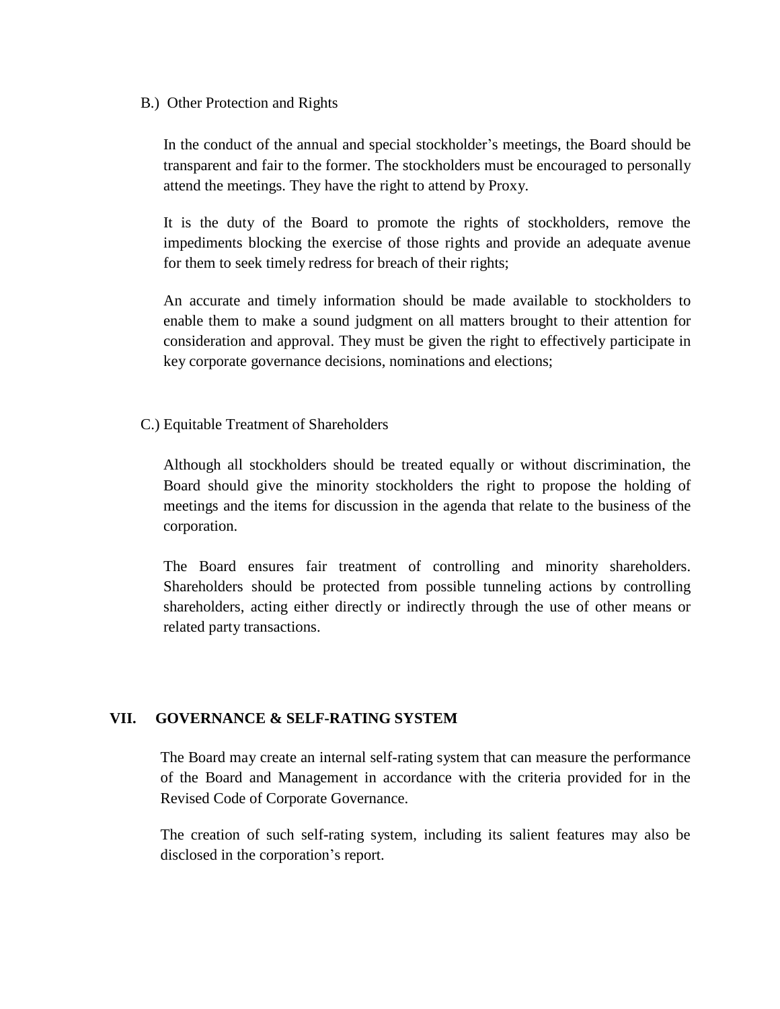B.) Other Protection and Rights

In the conduct of the annual and special stockholder's meetings, the Board should be transparent and fair to the former. The stockholders must be encouraged to personally attend the meetings. They have the right to attend by Proxy.

It is the duty of the Board to promote the rights of stockholders, remove the impediments blocking the exercise of those rights and provide an adequate avenue for them to seek timely redress for breach of their rights;

An accurate and timely information should be made available to stockholders to enable them to make a sound judgment on all matters brought to their attention for consideration and approval. They must be given the right to effectively participate in key corporate governance decisions, nominations and elections;

C.) Equitable Treatment of Shareholders

Although all stockholders should be treated equally or without discrimination, the Board should give the minority stockholders the right to propose the holding of meetings and the items for discussion in the agenda that relate to the business of the corporation.

The Board ensures fair treatment of controlling and minority shareholders. Shareholders should be protected from possible tunneling actions by controlling shareholders, acting either directly or indirectly through the use of other means or related party transactions.

# **VII. GOVERNANCE & SELF-RATING SYSTEM**

The Board may create an internal self-rating system that can measure the performance of the Board and Management in accordance with the criteria provided for in the Revised Code of Corporate Governance.

The creation of such self-rating system, including its salient features may also be disclosed in the corporation's report.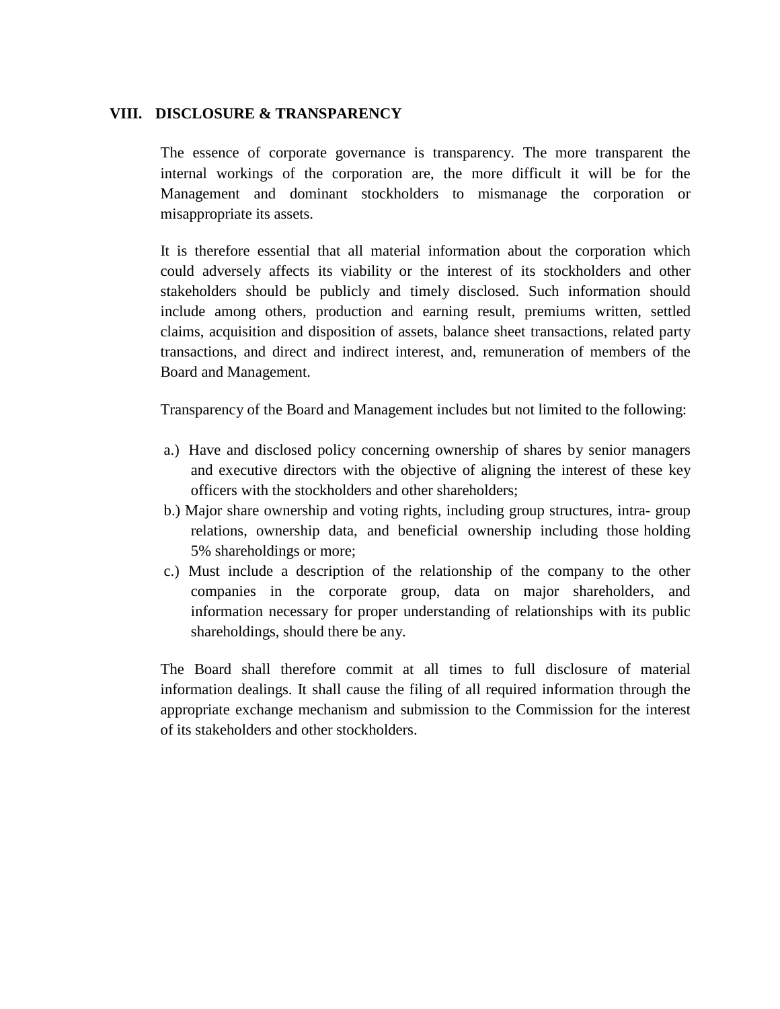## **VIII. DISCLOSURE & TRANSPARENCY**

The essence of corporate governance is transparency. The more transparent the internal workings of the corporation are, the more difficult it will be for the Management and dominant stockholders to mismanage the corporation or misappropriate its assets.

It is therefore essential that all material information about the corporation which could adversely affects its viability or the interest of its stockholders and other stakeholders should be publicly and timely disclosed. Such information should include among others, production and earning result, premiums written, settled claims, acquisition and disposition of assets, balance sheet transactions, related party transactions, and direct and indirect interest, and, remuneration of members of the Board and Management.

Transparency of the Board and Management includes but not limited to the following:

- a.) Have and disclosed policy concerning ownership of shares by senior managers and executive directors with the objective of aligning the interest of these key officers with the stockholders and other shareholders;
- b.) Major share ownership and voting rights, including group structures, intra- group relations, ownership data, and beneficial ownership including those holding 5% shareholdings or more;
- c.) Must include a description of the relationship of the company to the other companies in the corporate group, data on major shareholders, and information necessary for proper understanding of relationships with its public shareholdings, should there be any.

The Board shall therefore commit at all times to full disclosure of material information dealings. It shall cause the filing of all required information through the appropriate exchange mechanism and submission to the Commission for the interest of its stakeholders and other stockholders.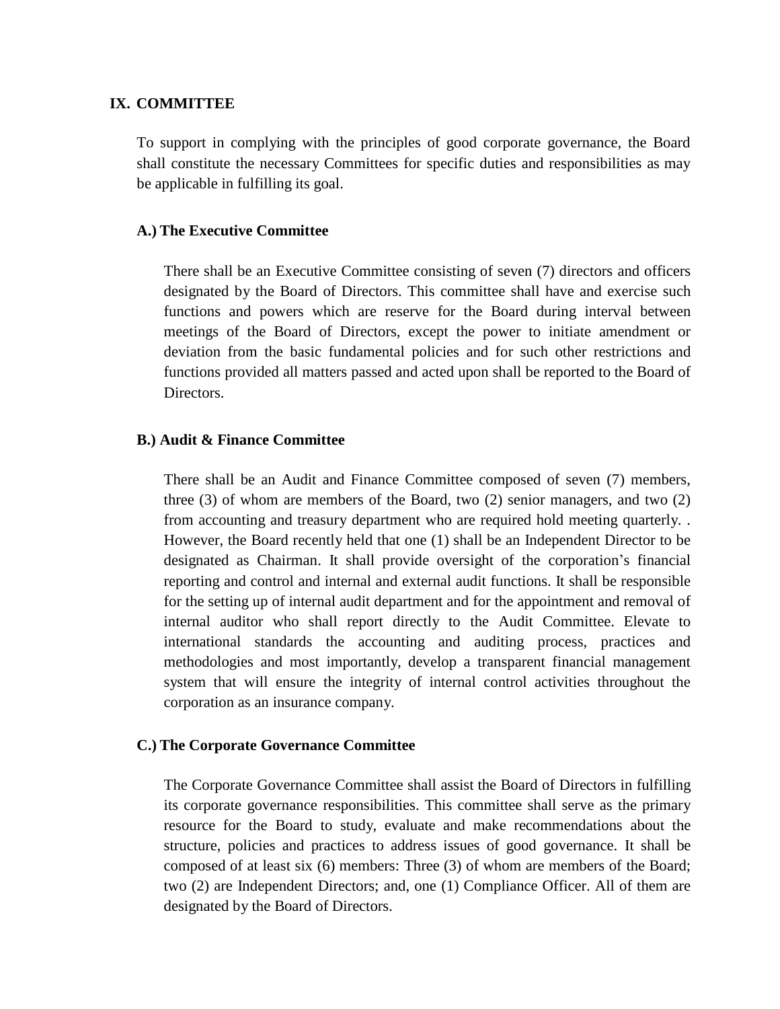#### **IX. COMMITTEE**

To support in complying with the principles of good corporate governance, the Board shall constitute the necessary Committees for specific duties and responsibilities as may be applicable in fulfilling its goal.

#### **A.) The Executive Committee**

There shall be an Executive Committee consisting of seven (7) directors and officers designated by the Board of Directors. This committee shall have and exercise such functions and powers which are reserve for the Board during interval between meetings of the Board of Directors, except the power to initiate amendment or deviation from the basic fundamental policies and for such other restrictions and functions provided all matters passed and acted upon shall be reported to the Board of Directors.

#### **B.) Audit & Finance Committee**

There shall be an Audit and Finance Committee composed of seven (7) members, three (3) of whom are members of the Board, two (2) senior managers, and two (2) from accounting and treasury department who are required hold meeting quarterly. . However, the Board recently held that one (1) shall be an Independent Director to be designated as Chairman. It shall provide oversight of the corporation's financial reporting and control and internal and external audit functions. It shall be responsible for the setting up of internal audit department and for the appointment and removal of internal auditor who shall report directly to the Audit Committee. Elevate to international standards the accounting and auditing process, practices and methodologies and most importantly, develop a transparent financial management system that will ensure the integrity of internal control activities throughout the corporation as an insurance company.

## **C.) The Corporate Governance Committee**

The Corporate Governance Committee shall assist the Board of Directors in fulfilling its corporate governance responsibilities. This committee shall serve as the primary resource for the Board to study, evaluate and make recommendations about the structure, policies and practices to address issues of good governance. It shall be composed of at least six (6) members: Three (3) of whom are members of the Board; two (2) are Independent Directors; and, one (1) Compliance Officer. All of them are designated by the Board of Directors.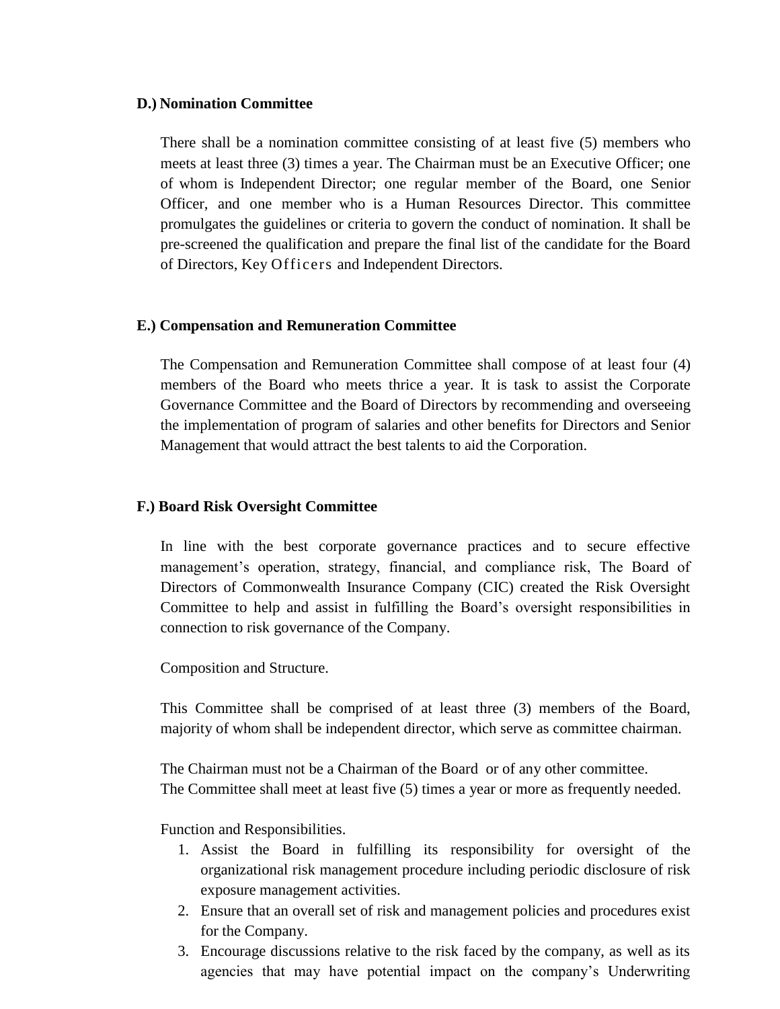#### **D.) Nomination Committee**

There shall be a nomination committee consisting of at least five (5) members who meets at least three (3) times a year. The Chairman must be an Executive Officer; one of whom is Independent Director; one regular member of the Board, one Senior Officer, and one member who is a Human Resources Director. This committee promulgates the guidelines or criteria to govern the conduct of nomination. It shall be pre-screened the qualification and prepare the final list of the candidate for the Board of Directors, Key Officers and Independent Directors.

## **E.) Compensation and Remuneration Committee**

The Compensation and Remuneration Committee shall compose of at least four (4) members of the Board who meets thrice a year. It is task to assist the Corporate Governance Committee and the Board of Directors by recommending and overseeing the implementation of program of salaries and other benefits for Directors and Senior Management that would attract the best talents to aid the Corporation.

## **F.) Board Risk Oversight Committee**

In line with the best corporate governance practices and to secure effective management's operation, strategy, financial, and compliance risk, The Board of Directors of Commonwealth Insurance Company (CIC) created the Risk Oversight Committee to help and assist in fulfilling the Board's oversight responsibilities in connection to risk governance of the Company.

Composition and Structure.

This Committee shall be comprised of at least three (3) members of the Board, majority of whom shall be independent director, which serve as committee chairman.

The Chairman must not be a Chairman of the Board or of any other committee. The Committee shall meet at least five (5) times a year or more as frequently needed.

Function and Responsibilities.

- 1. Assist the Board in fulfilling its responsibility for oversight of the organizational risk management procedure including periodic disclosure of risk exposure management activities.
- 2. Ensure that an overall set of risk and management policies and procedures exist for the Company.
- 3. Encourage discussions relative to the risk faced by the company, as well as its agencies that may have potential impact on the company's Underwriting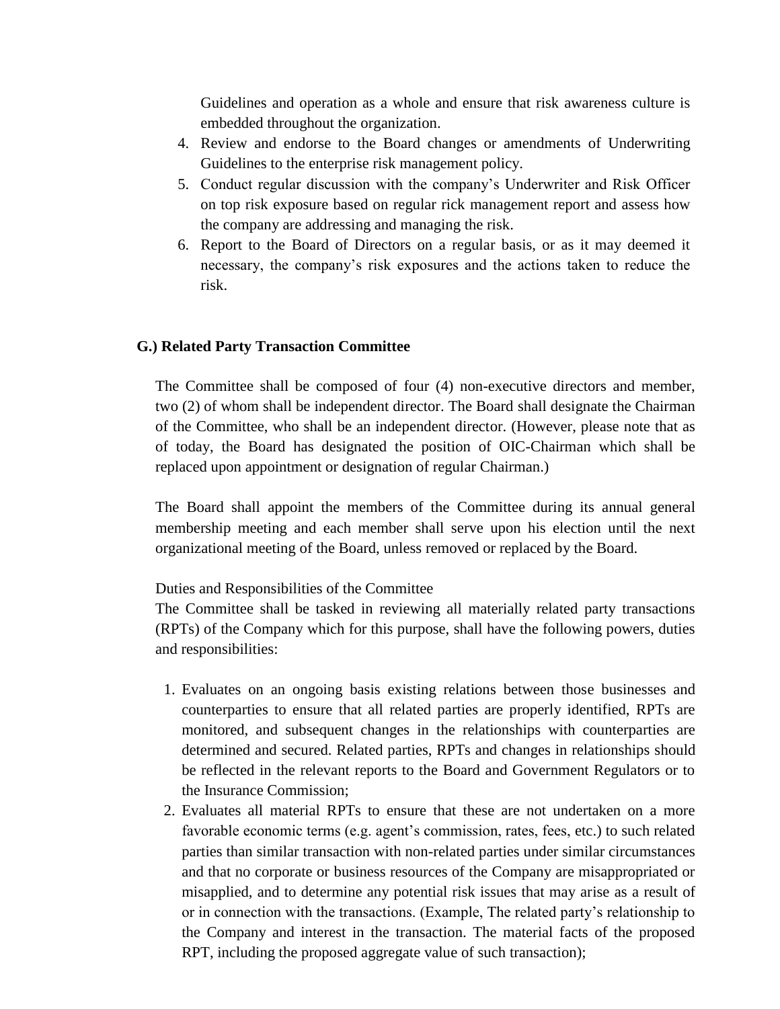Guidelines and operation as a whole and ensure that risk awareness culture is embedded throughout the organization.

- 4. Review and endorse to the Board changes or amendments of Underwriting Guidelines to the enterprise risk management policy.
- 5. Conduct regular discussion with the company's Underwriter and Risk Officer on top risk exposure based on regular rick management report and assess how the company are addressing and managing the risk.
- 6. Report to the Board of Directors on a regular basis, or as it may deemed it necessary, the company's risk exposures and the actions taken to reduce the risk.

#### **G.) Related Party Transaction Committee**

The Committee shall be composed of four (4) non-executive directors and member, two (2) of whom shall be independent director. The Board shall designate the Chairman of the Committee, who shall be an independent director. (However, please note that as of today, the Board has designated the position of OIC-Chairman which shall be replaced upon appointment or designation of regular Chairman.)

The Board shall appoint the members of the Committee during its annual general membership meeting and each member shall serve upon his election until the next organizational meeting of the Board, unless removed or replaced by the Board.

#### Duties and Responsibilities of the Committee

The Committee shall be tasked in reviewing all materially related party transactions (RPTs) of the Company which for this purpose, shall have the following powers, duties and responsibilities:

- 1. Evaluates on an ongoing basis existing relations between those businesses and counterparties to ensure that all related parties are properly identified, RPTs are monitored, and subsequent changes in the relationships with counterparties are determined and secured. Related parties, RPTs and changes in relationships should be reflected in the relevant reports to the Board and Government Regulators or to the Insurance Commission;
- 2. Evaluates all material RPTs to ensure that these are not undertaken on a more favorable economic terms (e.g. agent's commission, rates, fees, etc.) to such related parties than similar transaction with non-related parties under similar circumstances and that no corporate or business resources of the Company are misappropriated or misapplied, and to determine any potential risk issues that may arise as a result of or in connection with the transactions. (Example, The related party's relationship to the Company and interest in the transaction. The material facts of the proposed RPT, including the proposed aggregate value of such transaction);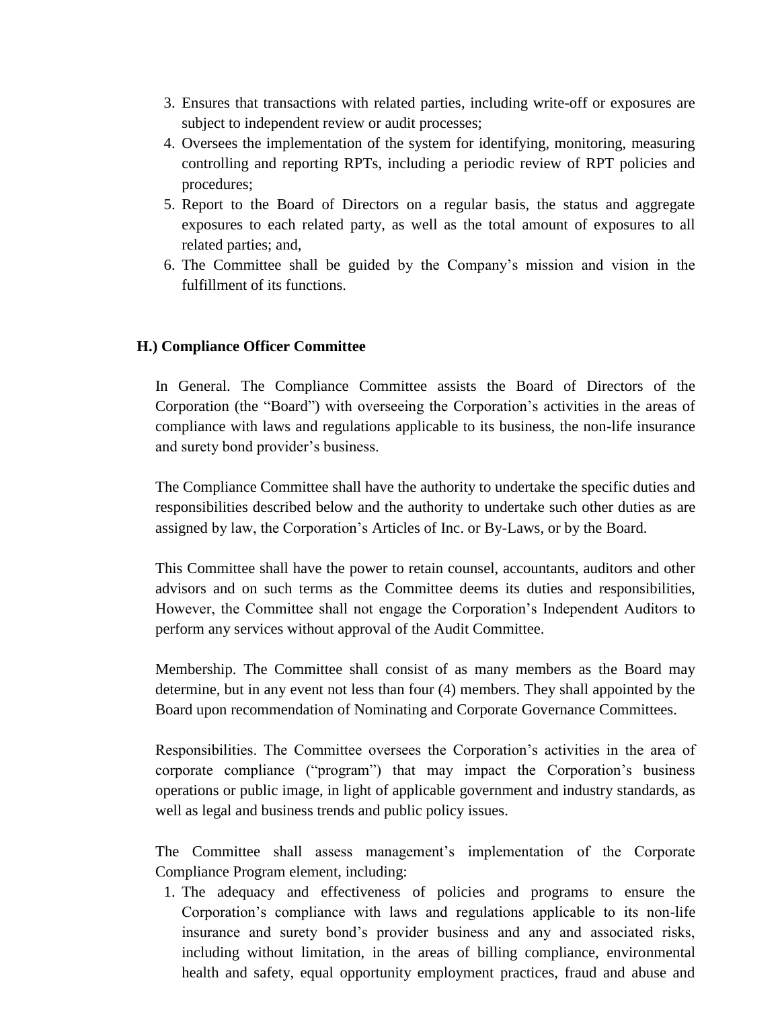- 3. Ensures that transactions with related parties, including write-off or exposures are subject to independent review or audit processes;
- 4. Oversees the implementation of the system for identifying, monitoring, measuring controlling and reporting RPTs, including a periodic review of RPT policies and procedures;
- 5. Report to the Board of Directors on a regular basis, the status and aggregate exposures to each related party, as well as the total amount of exposures to all related parties; and,
- 6. The Committee shall be guided by the Company's mission and vision in the fulfillment of its functions.

#### **H.) Compliance Officer Committee**

In General. The Compliance Committee assists the Board of Directors of the Corporation (the "Board") with overseeing the Corporation's activities in the areas of compliance with laws and regulations applicable to its business, the non-life insurance and surety bond provider's business.

The Compliance Committee shall have the authority to undertake the specific duties and responsibilities described below and the authority to undertake such other duties as are assigned by law, the Corporation's Articles of Inc. or By-Laws, or by the Board.

This Committee shall have the power to retain counsel, accountants, auditors and other advisors and on such terms as the Committee deems its duties and responsibilities, However, the Committee shall not engage the Corporation's Independent Auditors to perform any services without approval of the Audit Committee.

Membership. The Committee shall consist of as many members as the Board may determine, but in any event not less than four (4) members. They shall appointed by the Board upon recommendation of Nominating and Corporate Governance Committees.

Responsibilities. The Committee oversees the Corporation's activities in the area of corporate compliance ("program") that may impact the Corporation's business operations or public image, in light of applicable government and industry standards, as well as legal and business trends and public policy issues.

The Committee shall assess management's implementation of the Corporate Compliance Program element, including:

1. The adequacy and effectiveness of policies and programs to ensure the Corporation's compliance with laws and regulations applicable to its non-life insurance and surety bond's provider business and any and associated risks, including without limitation, in the areas of billing compliance, environmental health and safety, equal opportunity employment practices, fraud and abuse and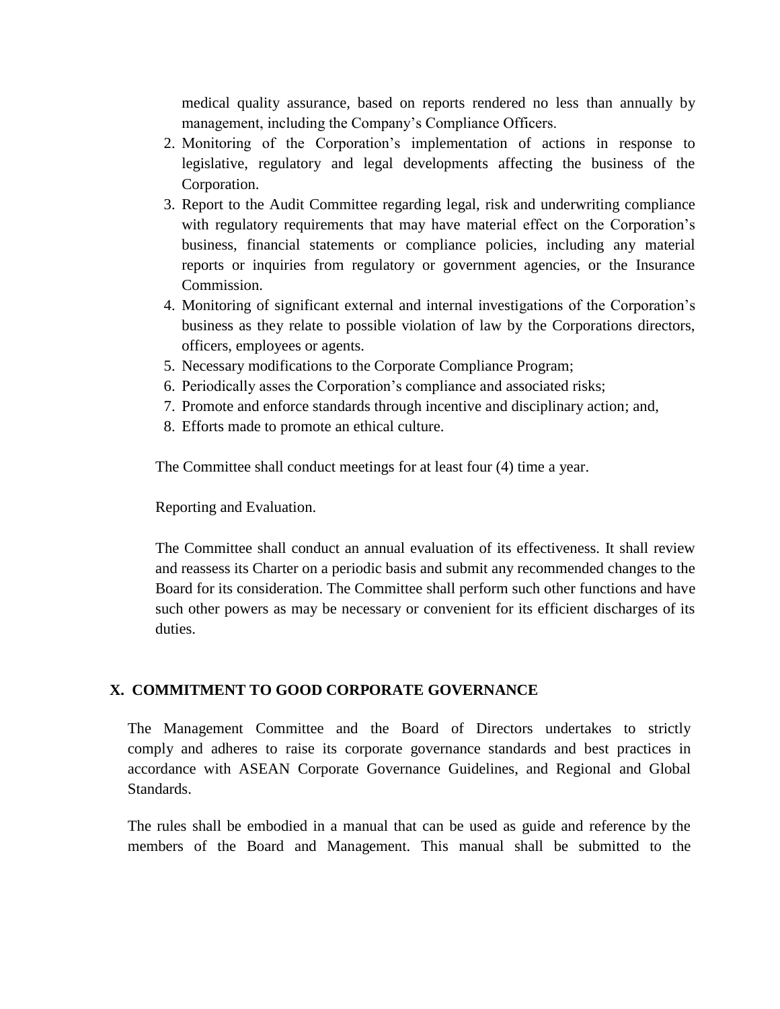medical quality assurance, based on reports rendered no less than annually by management, including the Company's Compliance Officers.

- 2. Monitoring of the Corporation's implementation of actions in response to legislative, regulatory and legal developments affecting the business of the Corporation.
- 3. Report to the Audit Committee regarding legal, risk and underwriting compliance with regulatory requirements that may have material effect on the Corporation's business, financial statements or compliance policies, including any material reports or inquiries from regulatory or government agencies, or the Insurance Commission.
- 4. Monitoring of significant external and internal investigations of the Corporation's business as they relate to possible violation of law by the Corporations directors, officers, employees or agents.
- 5. Necessary modifications to the Corporate Compliance Program;
- 6. Periodically asses the Corporation's compliance and associated risks;
- 7. Promote and enforce standards through incentive and disciplinary action; and,
- 8. Efforts made to promote an ethical culture.

The Committee shall conduct meetings for at least four (4) time a year.

Reporting and Evaluation.

The Committee shall conduct an annual evaluation of its effectiveness. It shall review and reassess its Charter on a periodic basis and submit any recommended changes to the Board for its consideration. The Committee shall perform such other functions and have such other powers as may be necessary or convenient for its efficient discharges of its duties.

#### **X. COMMITMENT TO GOOD CORPORATE GOVERNANCE**

The Management Committee and the Board of Directors undertakes to strictly comply and adheres to raise its corporate governance standards and best practices in accordance with ASEAN Corporate Governance Guidelines, and Regional and Global Standards.

The rules shall be embodied in a manual that can be used as guide and reference by the members of the Board and Management. This manual shall be submitted to the